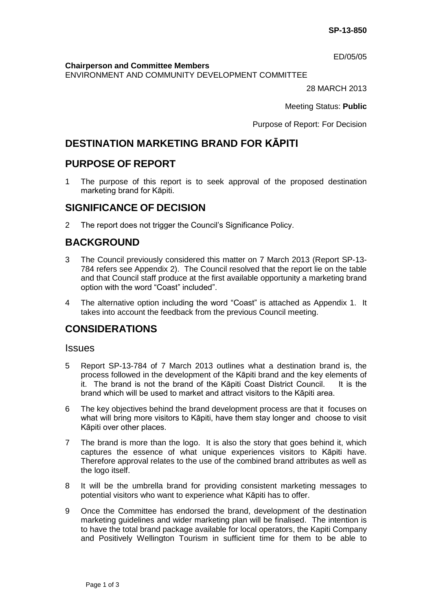ED/05/05

**Chairperson and Committee Members**

ENVIRONMENT AND COMMUNITY DEVELOPMENT COMMITTEE

28 MARCH 2013

Meeting Status: **Public**

Purpose of Report: For Decision

# **DESTINATION MARKETING BRAND FOR KĀPITI**

### **PURPOSE OF REPORT**

1 The purpose of this report is to seek approval of the proposed destination marketing brand for Kāpiti.

## **SIGNIFICANCE OF DECISION**

2 The report does not trigger the Council's Significance Policy.

## **BACKGROUND**

- 3 The Council previously considered this matter on 7 March 2013 (Report SP-13- 784 refers see Appendix 2). The Council resolved that the report lie on the table and that Council staff produce at the first available opportunity a marketing brand option with the word "Coast" included".
- 4 The alternative option including the word "Coast" is attached as Appendix 1. It takes into account the feedback from the previous Council meeting.

## **CONSIDERATIONS**

#### **Issues**

- 5 Report SP-13-784 of 7 March 2013 outlines what a destination brand is, the process followed in the development of the Kāpiti brand and the key elements of it. The brand is not the brand of the Kāpiti Coast District Council. It is the brand which will be used to market and attract visitors to the Kāpiti area.
- 6 The key objectives behind the brand development process are that it focuses on what will bring more visitors to Kāpiti, have them stay longer and choose to visit Kāpiti over other places.
- 7 The brand is more than the logo. It is also the story that goes behind it, which captures the essence of what unique experiences visitors to Kāpiti have. Therefore approval relates to the use of the combined brand attributes as well as the logo itself.
- 8 It will be the umbrella brand for providing consistent marketing messages to potential visitors who want to experience what Kāpiti has to offer.
- 9 Once the Committee has endorsed the brand, development of the destination marketing guidelines and wider marketing plan will be finalised. The intention is to have the total brand package available for local operators, the Kapiti Company and Positively Wellington Tourism in sufficient time for them to be able to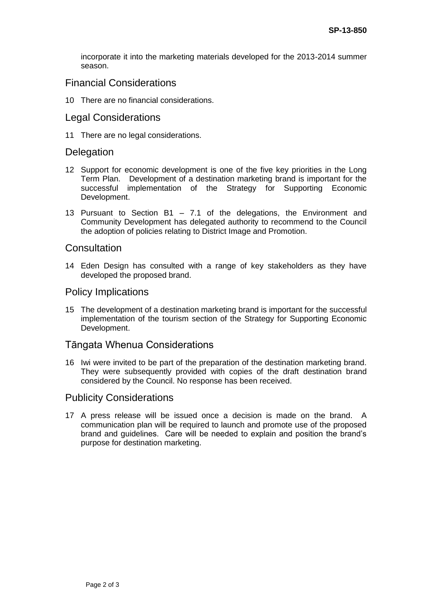incorporate it into the marketing materials developed for the 2013-2014 summer season.

### Financial Considerations

10 There are no financial considerations.

### Legal Considerations

11 There are no legal considerations.

#### **Delegation**

- 12 Support for economic development is one of the five key priorities in the Long Term Plan. Development of a destination marketing brand is important for the successful implementation of the Strategy for Supporting Economic Development.
- 13 Pursuant to Section B1 7.1 of the delegations, the Environment and Community Development has delegated authority to recommend to the Council the adoption of policies relating to District Image and Promotion.

#### **Consultation**

14 Eden Design has consulted with a range of key stakeholders as they have developed the proposed brand.

#### Policy Implications

15 The development of a destination marketing brand is important for the successful implementation of the tourism section of the Strategy for Supporting Economic Development.

### Tāngata Whenua Considerations

16 Iwi were invited to be part of the preparation of the destination marketing brand. They were subsequently provided with copies of the draft destination brand considered by the Council. No response has been received.

### Publicity Considerations

17 A press release will be issued once a decision is made on the brand. A communication plan will be required to launch and promote use of the proposed brand and guidelines. Care will be needed to explain and position the brand's purpose for destination marketing.